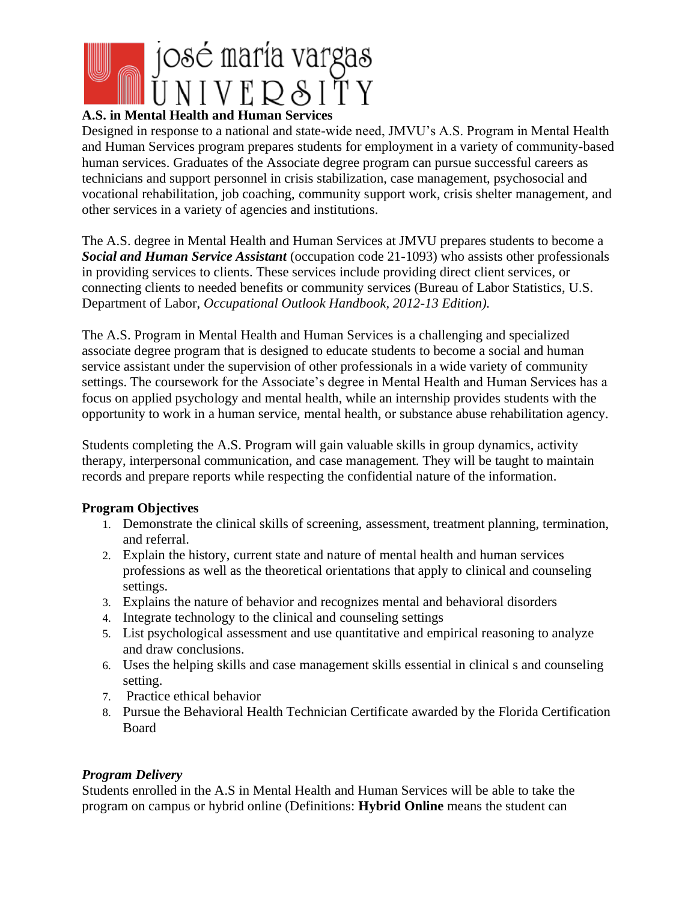

## **A.S. in Mental Health and Human Services**

Designed in response to a national and state-wide need, JMVU's A.S. Program in Mental Health and Human Services program prepares students for employment in a variety of community-based human services. Graduates of the Associate degree program can pursue successful careers as technicians and support personnel in crisis stabilization, case management, psychosocial and vocational rehabilitation, job coaching, community support work, crisis shelter management, and other services in a variety of agencies and institutions.

The A.S. degree in Mental Health and Human Services at JMVU prepares students to become a *Social and Human Service Assistant* (occupation code 21-1093) who assists other professionals in providing services to clients. These services include providing direct client services, or connecting clients to needed benefits or community services (Bureau of Labor Statistics, U.S. Department of Labor, *Occupational Outlook Handbook, 2012-13 Edition).* 

The A.S. Program in Mental Health and Human Services is a challenging and specialized associate degree program that is designed to educate students to become a social and human service assistant under the supervision of other professionals in a wide variety of community settings. The coursework for the Associate's degree in Mental Health and Human Services has a focus on applied psychology and mental health, while an internship provides students with the opportunity to work in a human service, mental health, or substance abuse rehabilitation agency.

Students completing the A.S. Program will gain valuable skills in group dynamics, activity therapy, interpersonal communication, and case management. They will be taught to maintain records and prepare reports while respecting the confidential nature of the information.

#### **Program Objectives**

- 1. Demonstrate the clinical skills of screening, assessment, treatment planning, termination, and referral.
- 2. Explain the history, current state and nature of mental health and human services professions as well as the theoretical orientations that apply to clinical and counseling settings.
- 3. Explains the nature of behavior and recognizes mental and behavioral disorders
- 4. Integrate technology to the clinical and counseling settings
- 5. List psychological assessment and use quantitative and empirical reasoning to analyze and draw conclusions.
- 6. Uses the helping skills and case management skills essential in clinical s and counseling setting.
- 7. Practice ethical behavior
- 8. Pursue the Behavioral Health Technician Certificate awarded by the Florida Certification Board

#### *Program Delivery*

Students enrolled in the A.S in Mental Health and Human Services will be able to take the program on campus or hybrid online (Definitions: **Hybrid Online** means the student can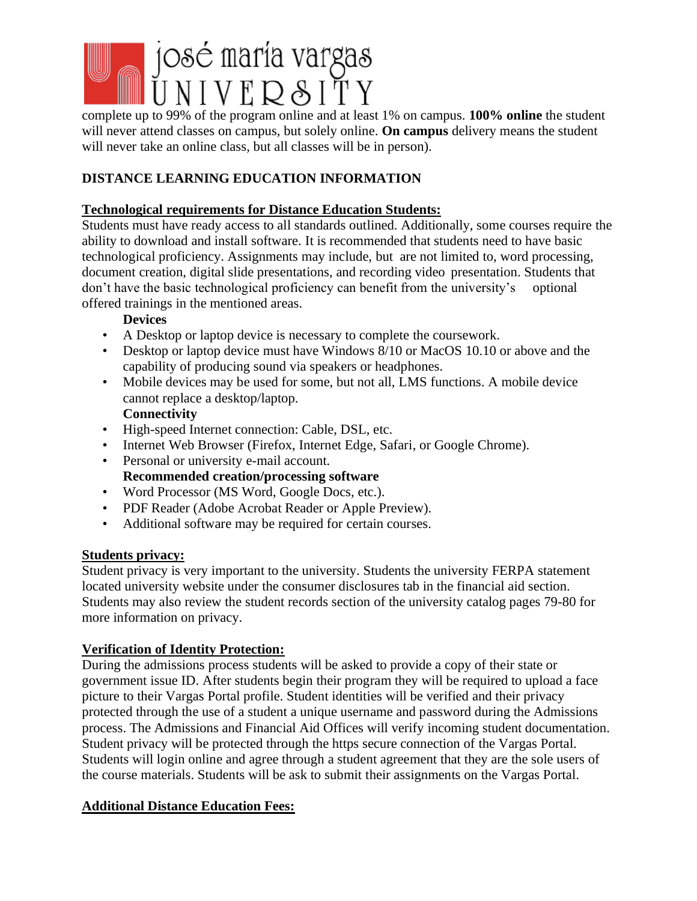# josé maría vargas

complete up to 99% of the program online and at least 1% on campus. **100% online** the student will never attend classes on campus, but solely online. **On campus** delivery means the student will never take an online class, but all classes will be in person).

# **DISTANCE LEARNING EDUCATION INFORMATION**

## **Technological requirements for Distance Education Students:**

Students must have ready access to all standards outlined. Additionally, some courses require the ability to download and install software. It is recommended that students need to have basic technological proficiency. Assignments may include, but are not limited to, word processing, document creation, digital slide presentations, and recording video presentation. Students that don't have the basic technological proficiency can benefit from the university's optional offered trainings in the mentioned areas.

## **Devices**

- A Desktop or laptop device is necessary to complete the coursework.
- Desktop or laptop device must have Windows 8/10 or MacOS 10.10 or above and the capability of producing sound via speakers or headphones.
- Mobile devices may be used for some, but not all, LMS functions. A mobile device cannot replace a desktop/laptop.

## **Connectivity**

- High-speed Internet connection: Cable, DSL, etc.
- Internet Web Browser (Firefox, Internet Edge, Safari, or Google Chrome).
- Personal or university e-mail account. **Recommended creation/processing software**
- Word Processor (MS Word, Google Docs, etc.).
- PDF Reader (Adobe Acrobat Reader or Apple Preview).
- Additional software may be required for certain courses.

## **Students privacy:**

Student privacy is very important to the university. Students the university FERPA statement located university website under the consumer disclosures tab in the financial aid section. Students may also review the student records section of the university catalog pages 79-80 for more information on privacy.

#### **Verification of Identity Protection:**

During the admissions process students will be asked to provide a copy of their state or government issue ID. After students begin their program they will be required to upload a face picture to their Vargas Portal profile. Student identities will be verified and their privacy protected through the use of a student a unique username and password during the Admissions process. The Admissions and Financial Aid Offices will verify incoming student documentation. Student privacy will be protected through the https secure connection of the Vargas Portal. Students will login online and agree through a student agreement that they are the sole users of the course materials. Students will be ask to submit their assignments on the Vargas Portal.

## **Additional Distance Education Fees:**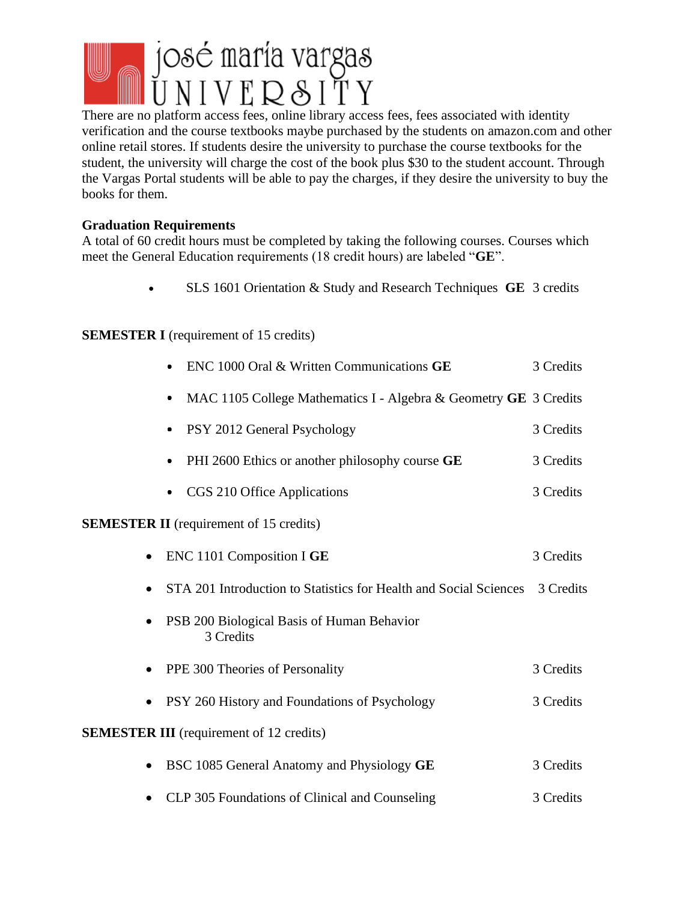

There are no platform access fees, online library access fees, fees associated with identity verification and the course textbooks maybe purchased by the students on amazon.com and other online retail stores. If students desire the university to purchase the course textbooks for the student, the university will charge the cost of the book plus \$30 to the student account. Through the Vargas Portal students will be able to pay the charges, if they desire the university to buy the books for them.

#### **Graduation Requirements**

A total of 60 credit hours must be completed by taking the following courses. Courses which meet the General Education requirements (18 credit hours) are labeled "**GE**".

• SLS 1601 Orientation & Study and Research Techniques **GE** 3 credits

#### **SEMESTER I** (requirement of 15 credits)

|           | ENC 1000 Oral & Written Communications GE                                   | 3 Credits |
|-----------|-----------------------------------------------------------------------------|-----------|
| $\bullet$ | MAC 1105 College Mathematics I - Algebra & Geometry GE 3 Credits            |           |
|           | PSY 2012 General Psychology                                                 | 3 Credits |
|           | PHI 2600 Ethics or another philosophy course GE                             | 3 Credits |
|           | • CGS 210 Office Applications                                               | 3 Credits |
|           | <b>SEMESTER II</b> (requirement of 15 credits)                              |           |
|           | ENC 1101 Composition I GE                                                   | 3 Credits |
|           | STA 201 Introduction to Statistics for Health and Social Sciences 3 Credits |           |
|           | PSB 200 Biological Basis of Human Behavior<br>3 Credits                     |           |
| $\bullet$ | PPE 300 Theories of Personality                                             | 3 Credits |
|           | PSY 260 History and Foundations of Psychology                               | 3 Credits |
|           | <b>SEMESTER III</b> (requirement of 12 credits)                             |           |
| $\bullet$ | BSC 1085 General Anatomy and Physiology GE                                  | 3 Credits |
|           | CLP 305 Foundations of Clinical and Counseling                              | 3 Credits |